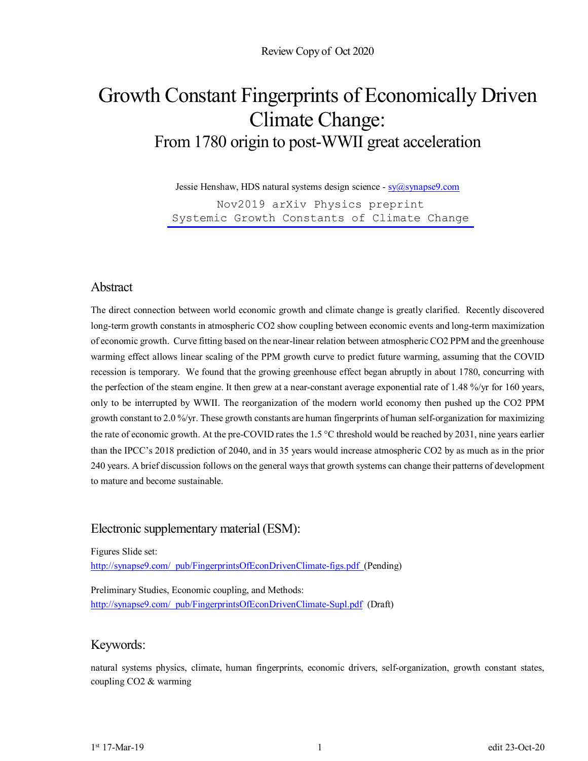# Growth Constant Fingerprints of Economically Driven Climate Change: From 1780 origin to post-WWII great acceleration

Jessie Henshaw, HDS natural systems design science - sy@synapse9.com

Nov2019 arXiv Physics preprint [Systemic Growth Constants of Climate Change](https://arxiv.org/abs/1911.04340)

### Abstract

The direct connection between world economic growth and climate change is greatly clarified. Recently discovered long-term growth constants in atmospheric CO2 show coupling between economic events and long-term maximization of economic growth. Curve fitting based on the near-linear relation between atmospheric CO2 PPM and the greenhouse warming effect allows linear scaling of the PPM growth curve to predict future warming, assuming that the COVID recession is temporary. We found that the growing greenhouse effect began abruptly in about 1780, concurring with the perfection of the steam engine. It then grew at a near-constant average exponential rate of 1.48 %/yr for 160 years, only to be interrupted by WWII. The reorganization of the modern world economy then pushed up the CO2 PPM growth constant to 2.0 %/yr. These growth constants are human fingerprints of human self-organization for maximizing the rate of economic growth. At the pre-COVID rates the  $1.5^{\circ}$ C threshold would be reached by 2031, nine years earlier than the IPCC's 2018 prediction of 2040, and in 35 years would increase atmospheric CO2 by as much as in the prior 240 years. A brief discussion follows on the general ways that growth systems can change their patterns of development to mature and become sustainable.

### Electronic supplementary material (ESM):

Figures Slide set:

http://synapse9.com/\_pub/FingerprintsOfEconDrivenClimate-figs.pdf (Pending)

Preliminary Studies, Economic coupling, and Methods: http://synapse9.com/\_pub/FingerprintsOfEconDrivenClimate-Supl.pdf (Draft)

### Keywords:

natural systems physics, climate, human fingerprints, economic drivers, self-organization, growth constant states, coupling CO2 & warming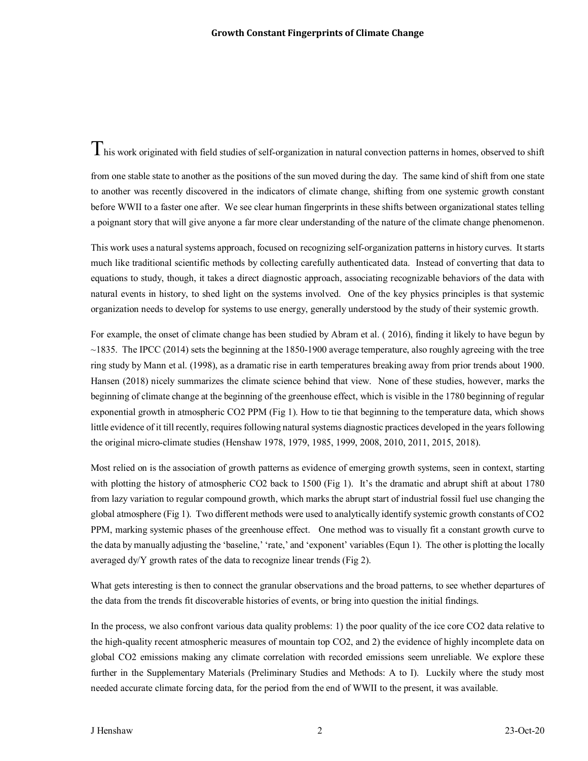$T$ his work originated with field studies of self-organization in natural convection patterns in homes, observed to shift

from one stable state to another as the positions of the sun moved during the day. The same kind of shift from one state to another was recently discovered in the indicators of climate change, shifting from one systemic growth constant before WWII to a faster one after. We see clear human fingerprints in these shifts between organizational states telling a poignant story that will give anyone a far more clear understanding of the nature of the climate change phenomenon.

This work uses a natural systems approach, focused on recognizing self-organization patterns in history curves. It starts much like traditional scientific methods by collecting carefully authenticated data. Instead of converting that data to equations to study, though, it takes a direct diagnostic approach, associating recognizable behaviors of the data with natural events in history, to shed light on the systems involved. One of the key physics principles is that systemic organization needs to develop for systems to use energy, generally understood by the study of their systemic growth.

For example, the onset of climate change has been studied by Abram et al. ( 2016), finding it likely to have begun by  $\sim$ 1835. The IPCC (2014) sets the beginning at the 1850-1900 average temperature, also roughly agreeing with the tree ring study by Mann et al. (1998), as a dramatic rise in earth temperatures breaking away from prior trends about 1900. Hansen (2018) nicely summarizes the climate science behind that view. None of these studies, however, marks the beginning of climate change at the beginning of the greenhouse effect, which is visible in the 1780 beginning of regular exponential growth in atmospheric CO2 PPM (Fig 1). How to tie that beginning to the temperature data, which shows little evidence of it till recently, requires following natural systems diagnostic practices developed in the years following the original micro-climate studies (Henshaw 1978, 1979, 1985, 1999, 2008, 2010, 2011, 2015, 2018).

Most relied on is the association of growth patterns as evidence of emerging growth systems, seen in context, starting with plotting the history of atmospheric CO2 back to 1500 (Fig 1). It's the dramatic and abrupt shift at about 1780 from lazy variation to regular compound growth, which marks the abrupt start of industrial fossil fuel use changing the global atmosphere (Fig 1). Two different methods were used to analytically identify systemic growth constants of CO2 PPM, marking systemic phases of the greenhouse effect. One method was to visually fit a constant growth curve to the data by manually adjusting the 'baseline,' 'rate,' and 'exponent' variables (Equn 1). The other is plotting the locally averaged dy/Y growth rates of the data to recognize linear trends (Fig 2).

What gets interesting is then to connect the granular observations and the broad patterns, to see whether departures of the data from the trends fit discoverable histories of events, or bring into question the initial findings.

In the process, we also confront various data quality problems: 1) the poor quality of the ice core CO2 data relative to the high-quality recent atmospheric measures of mountain top CO2, and 2) the evidence of highly incomplete data on global CO2 emissions making any climate correlation with recorded emissions seem unreliable. We explore these further in the Supplementary Materials (Preliminary Studies and Methods: A to I). Luckily where the study most needed accurate climate forcing data, for the period from the end of WWII to the present, it was available.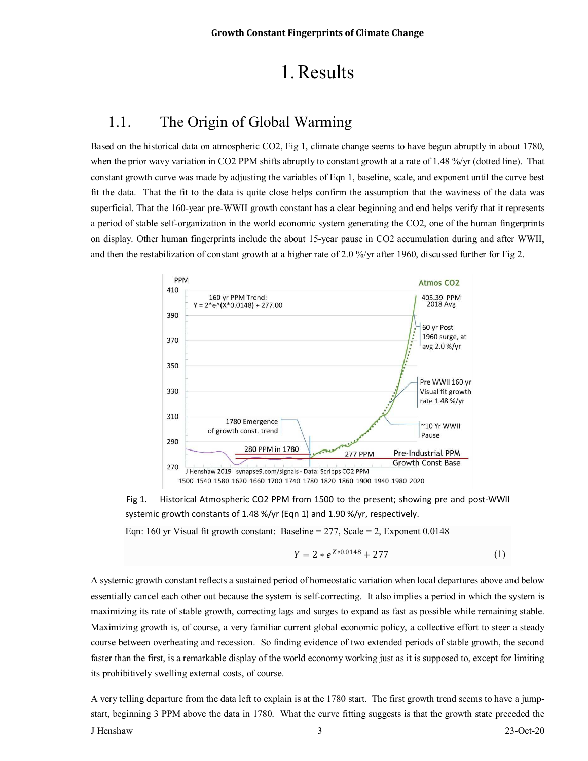# 1.Results

## 1.1. The Origin of Global Warming

Based on the historical data on atmospheric CO2, Fig 1, climate change seems to have begun abruptly in about 1780, when the prior wavy variation in CO2 PPM shifts abruptly to constant growth at a rate of 1.48 %/yr (dotted line). That constant growth curve was made by adjusting the variables of Eqn 1, baseline, scale, and exponent until the curve best fit the data. That the fit to the data is quite close helps confirm the assumption that the waviness of the data was superficial. That the 160-year pre-WWII growth constant has a clear beginning and end helps verify that it represents a period of stable self-organization in the world economic system generating the CO2, one of the human fingerprints on display. Other human fingerprints include the about 15-year pause in CO2 accumulation during and after WWII, and then the restabilization of constant growth at a higher rate of 2.0 %/yr after 1960, discussed further for Fig 2.





Eqn: 160 yr Visual fit growth constant: Baseline  $= 277$ , Scale  $= 2$ , Exponent 0.0148

$$
Y = 2 * e^{X * 0.0148} + 277 \tag{1}
$$

A systemic growth constant reflects a sustained period of homeostatic variation when local departures above and below essentially cancel each other out because the system is self-correcting. It also implies a period in which the system is maximizing its rate of stable growth, correcting lags and surges to expand as fast as possible while remaining stable. Maximizing growth is, of course, a very familiar current global economic policy, a collective effort to steer a steady course between overheating and recession. So finding evidence of two extended periods of stable growth, the second faster than the first, is a remarkable display of the world economy working just as it is supposed to, except for limiting its prohibitively swelling external costs, of course.

J Henshaw 3 23-Oct-20 A very telling departure from the data left to explain is at the 1780 start. The first growth trend seems to have a jumpstart, beginning 3 PPM above the data in 1780. What the curve fitting suggests is that the growth state preceded the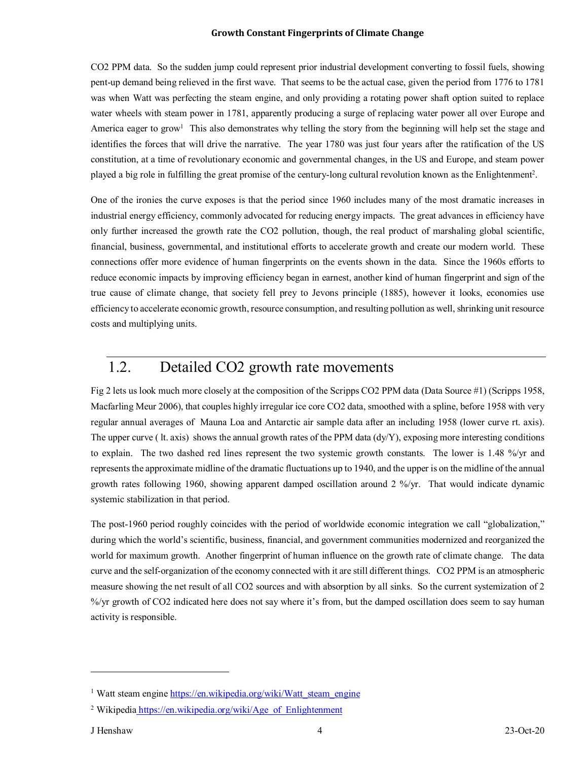CO2 PPM data. So the sudden jump could represent prior industrial development converting to fossil fuels, showing pent-up demand being relieved in the first wave. That seems to be the actual case, given the period from 1776 to 1781 was when Watt was perfecting the steam engine, and only providing a rotating power shaft option suited to replace water wheels with steam power in 1781, apparently producing a surge of replacing water power all over Europe and America eager to grow<sup>1</sup> This also demonstrates why telling the story from the beginning will help set the stage and identifies the forces that will drive the narrative. The year 1780 was just four years after the ratification of the US constitution, at a time of revolutionary economic and governmental changes, in the US and Europe, and steam power played a big role in fulfilling the great promise of the century-long cultural revolution known as the Enlightenment<sup>2</sup>.

One of the ironies the curve exposes is that the period since 1960 includes many of the most dramatic increases in industrial energy efficiency, commonly advocated for reducing energy impacts. The great advances in efficiency have only further increased the growth rate the CO2 pollution, though, the real product of marshaling global scientific, financial, business, governmental, and institutional efforts to accelerate growth and create our modern world. These connections offer more evidence of human fingerprints on the events shown in the data. Since the 1960s efforts to reduce economic impacts by improving efficiency began in earnest, another kind of human fingerprint and sign of the true cause of climate change, that society fell prey to Jevons principle (1885), however it looks, economies use efficiency to accelerate economic growth, resource consumption, and resulting pollution as well, shrinking unit resource costs and multiplying units.

## 1.2. Detailed CO2 growth rate movements

Fig 2 lets us look much more closely at the composition of the Scripps CO2 PPM data (Data Source #1) (Scripps 1958, Macfarling Meur 2006), that couples highly irregular ice core CO2 data, smoothed with a spline, before 1958 with very regular annual averages of Mauna Loa and Antarctic air sample data after an including 1958 (lower curve rt. axis). The upper curve ( lt. axis) shows the annual growth rates of the PPM data (dy/Y), exposing more interesting conditions to explain. The two dashed red lines represent the two systemic growth constants. The lower is 1.48 %/yr and represents the approximate midline of the dramatic fluctuations up to 1940, and the upper is on the midline of the annual growth rates following 1960, showing apparent damped oscillation around 2 %/yr. That would indicate dynamic systemic stabilization in that period.

The post-1960 period roughly coincides with the period of worldwide economic integration we call "globalization," during which the world's scientific, business, financial, and government communities modernized and reorganized the world for maximum growth. Another fingerprint of human influence on the growth rate of climate change. The data curve and the self-organization of the economy connected with it are still different things. CO2 PPM is an atmospheric measure showing the net result of all CO2 sources and with absorption by all sinks. So the current systemization of 2 %/yr growth of CO2 indicated here does not say where it's from, but the damped oscillation does seem to say human activity is responsible.

 $\overline{a}$ 

<sup>&</sup>lt;sup>1</sup> Watt steam engine https://en.wikipedia.org/wiki/Watt\_steam\_engine

<sup>&</sup>lt;sup>2</sup> Wikipedia https://en.wikipedia.org/wiki/Age\_of\_Enlightenment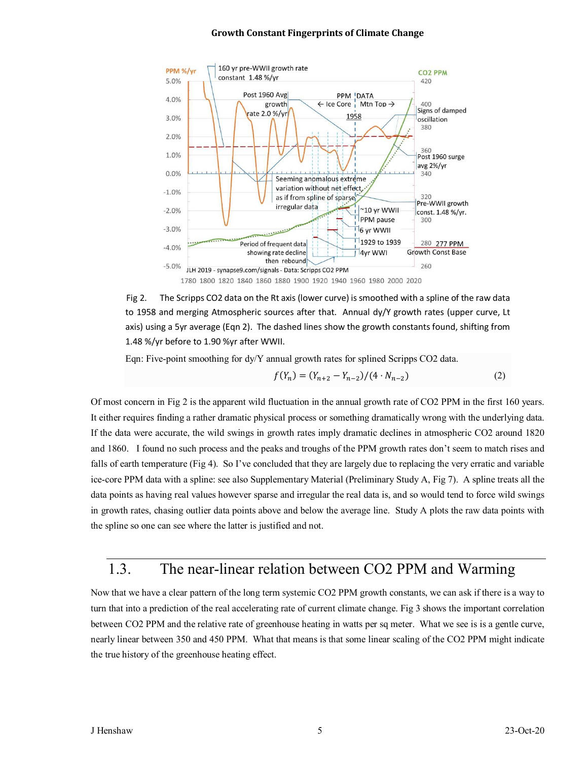

Fig 2. The Scripps CO2 data on the Rt axis (lower curve) is smoothed with a spline of the raw data to 1958 and merging Atmospheric sources after that. Annual dy/Y growth rates (upper curve, Lt axis) using a 5yr average (Eqn 2). The dashed lines show the growth constants found, shifting from 1.48 %/yr before to 1.90 %yr after WWII.

Eqn: Five-point smoothing for dy/Y annual growth rates for splined Scripps CO2 data.

$$
f(Y_n) = (Y_{n+2} - Y_{n-2})/(4 \cdot N_{n-2})
$$
\n(2)

Of most concern in Fig 2 is the apparent wild fluctuation in the annual growth rate of CO2 PPM in the first 160 years. It either requires finding a rather dramatic physical process or something dramatically wrong with the underlying data. If the data were accurate, the wild swings in growth rates imply dramatic declines in atmospheric CO2 around 1820 and 1860. I found no such process and the peaks and troughs of the PPM growth rates don't seem to match rises and falls of earth temperature (Fig 4). So I've concluded that they are largely due to replacing the very erratic and variable ice-core PPM data with a spline: see also Supplementary Material (Preliminary Study A, Fig 7). A spline treats all the data points as having real values however sparse and irregular the real data is, and so would tend to force wild swings in growth rates, chasing outlier data points above and below the average line. Study A plots the raw data points with the spline so one can see where the latter is justified and not.

### 1.3. The near-linear relation between CO2 PPM and Warming

Now that we have a clear pattern of the long term systemic CO2 PPM growth constants, we can ask if there is a way to turn that into a prediction of the real accelerating rate of current climate change. Fig 3 shows the important correlation between CO2 PPM and the relative rate of greenhouse heating in watts per sq meter. What we see is is a gentle curve, nearly linear between 350 and 450 PPM. What that means is that some linear scaling of the CO2 PPM might indicate the true history of the greenhouse heating effect.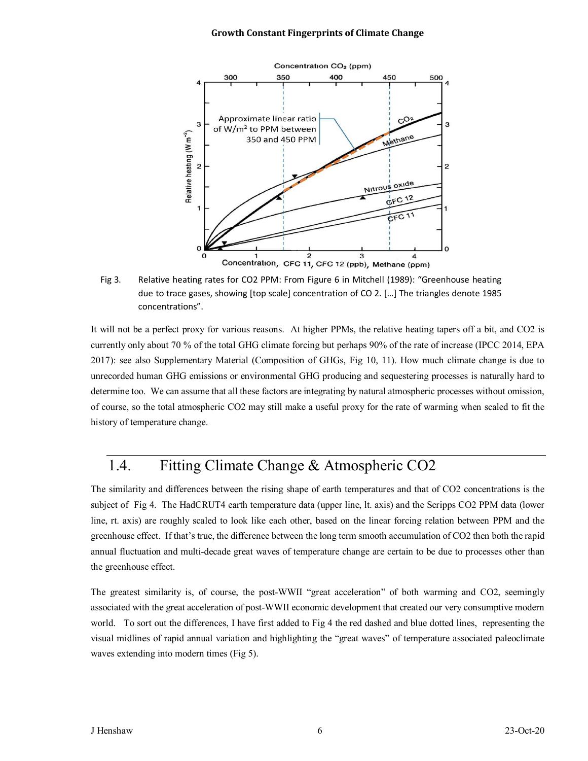

Fig 3. Relative heating rates for CO2 PPM: From Figure 6 in Mitchell (1989): "Greenhouse heating due to trace gases, showing [top scale] concentration of CO 2. […] The triangles denote 1985 concentrations".

It will not be a perfect proxy for various reasons. At higher PPMs, the relative heating tapers off a bit, and CO2 is currently only about 70 % of the total GHG climate forcing but perhaps 90% of the rate of increase (IPCC 2014, EPA 2017): see also Supplementary Material (Composition of GHGs, Fig 10, 11). How much climate change is due to unrecorded human GHG emissions or environmental GHG producing and sequestering processes is naturally hard to determine too. We can assume that all these factors are integrating by natural atmospheric processes without omission, of course, so the total atmospheric CO2 may still make a useful proxy for the rate of warming when scaled to fit the history of temperature change.

## 1.4. Fitting Climate Change & Atmospheric CO2

The similarity and differences between the rising shape of earth temperatures and that of CO2 concentrations is the subject of Fig 4. The HadCRUT4 earth temperature data (upper line, lt. axis) and the Scripps CO2 PPM data (lower line, rt. axis) are roughly scaled to look like each other, based on the linear forcing relation between PPM and the greenhouse effect. If that's true, the difference between the long term smooth accumulation of CO2 then both the rapid annual fluctuation and multi-decade great waves of temperature change are certain to be due to processes other than the greenhouse effect.

The greatest similarity is, of course, the post-WWII "great acceleration" of both warming and CO2, seemingly associated with the great acceleration of post-WWII economic development that created our very consumptive modern world. To sort out the differences, I have first added to Fig 4 the red dashed and blue dotted lines, representing the visual midlines of rapid annual variation and highlighting the "great waves" of temperature associated paleoclimate waves extending into modern times (Fig 5).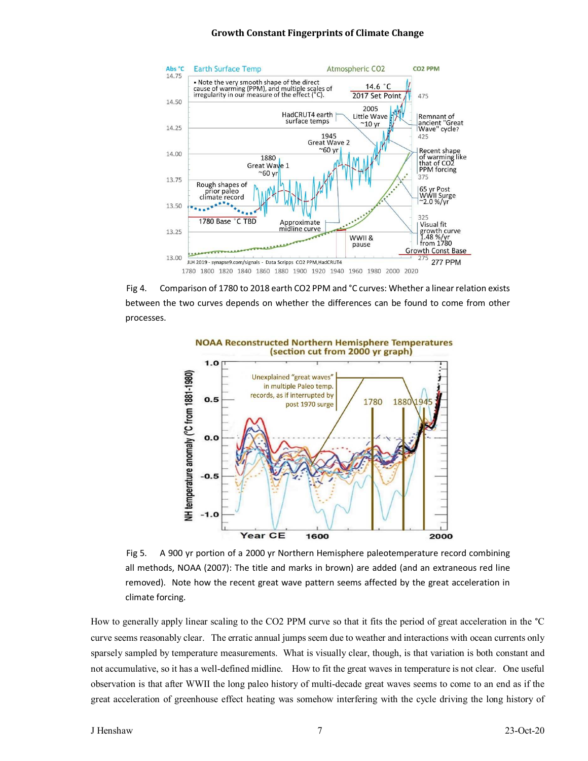

Fig 4. Comparison of 1780 to 2018 earth CO2 PPM and °C curves: Whether a linear relation exists between the two curves depends on whether the differences can be found to come from other processes.



Fig 5. A 900 yr portion of a 2000 yr Northern Hemisphere paleotemperature record combining all methods, NOAA (2007): The title and marks in brown) are added (and an extraneous red line removed). Note how the recent great wave pattern seems affected by the great acceleration in climate forcing.

How to generally apply linear scaling to the CO2 PPM curve so that it fits the period of great acceleration in the °C curve seems reasonably clear. The erratic annual jumps seem due to weather and interactions with ocean currents only sparsely sampled by temperature measurements. What is visually clear, though, is that variation is both constant and not accumulative, so it has a well-defined midline. How to fit the great waves in temperature is not clear. One useful observation is that after WWII the long paleo history of multi-decade great waves seems to come to an end as if the great acceleration of greenhouse effect heating was somehow interfering with the cycle driving the long history of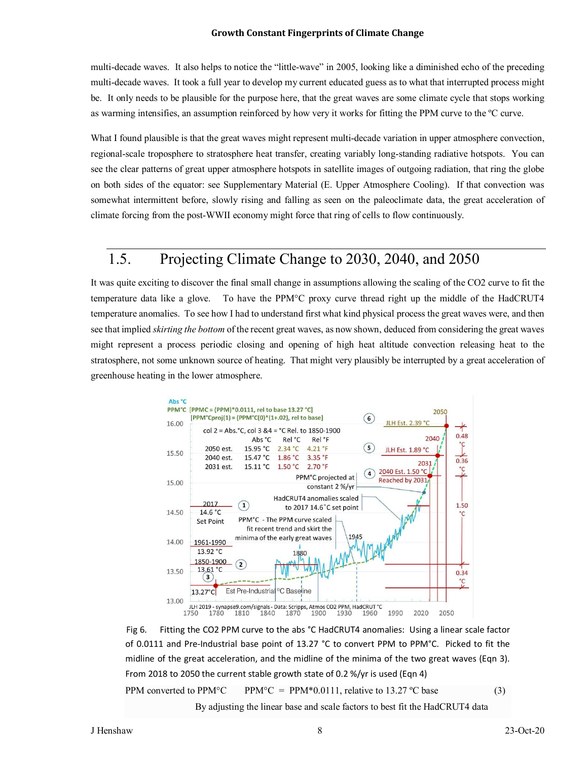multi-decade waves. It also helps to notice the "little-wave" in 2005, looking like a diminished echo of the preceding multi-decade waves. It took a full year to develop my current educated guess as to what that interrupted process might be. It only needs to be plausible for the purpose here, that the great waves are some climate cycle that stops working as warming intensifies, an assumption reinforced by how very it works for fitting the PPM curve to the ºC curve.

What I found plausible is that the great waves might represent multi-decade variation in upper atmosphere convection, regional-scale troposphere to stratosphere heat transfer, creating variably long-standing radiative hotspots. You can see the clear patterns of great upper atmosphere hotspots in satellite images of outgoing radiation, that ring the globe on both sides of the equator: see Supplementary Material (E. Upper Atmosphere Cooling). If that convection was somewhat intermittent before, slowly rising and falling as seen on the paleoclimate data, the great acceleration of climate forcing from the post-WWII economy might force that ring of cells to flow continuously.

## 1.5. Projecting Climate Change to 2030, 2040, and 2050

It was quite exciting to discover the final small change in assumptions allowing the scaling of the CO2 curve to fit the temperature data like a glove. To have the PPM°C proxy curve thread right up the middle of the HadCRUT4 temperature anomalies. To see how I had to understand first what kind physical process the great waves were, and then see that implied *skirting the bottom* of the recent great waves, as now shown, deduced from considering the great waves might represent a process periodic closing and opening of high heat altitude convection releasing heat to the stratosphere, not some unknown source of heating. That might very plausibly be interrupted by a great acceleration of greenhouse heating in the lower atmosphere.



Fig 6. Fitting the CO2 PPM curve to the abs °C HadCRUT4 anomalies: Using a linear scale factor of 0.0111 and Pre-Industrial base point of 13.27 °C to convert PPM to PPM°C. Picked to fit the midline of the great acceleration, and the midline of the minima of the two great waves (Eqn 3). From 2018 to 2050 the current stable growth state of 0.2 %/yr is used (Eqn 4)

PPM converted to PPM<sup>°</sup>C PPM<sup>°</sup>C = PPM<sup>\*</sup>0.0111, relative to 13.27 <sup>°</sup>C base (3)

By adjusting the linear base and scale factors to best fit the HadCRUT4 data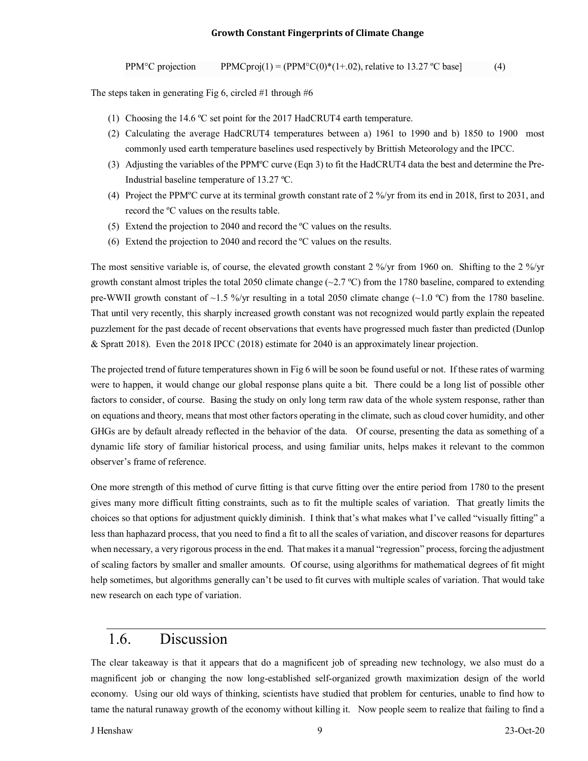PPM<sup>°</sup>C projection PPMCproj(1) = (PPM<sup>°</sup>C(0)<sup>\*</sup>(1+.02), relative to 13.27 <sup>°</sup>C base] (4)

The steps taken in generating Fig 6, circled #1 through #6

- (1) Choosing the 14.6 ºC set point for the 2017 HadCRUT4 earth temperature.
- (2) Calculating the average HadCRUT4 temperatures between a) 1961 to 1990 and b) 1850 to 1900 most commonly used earth temperature baselines used respectively by Brittish Meteorology and the IPCC.
- (3) Adjusting the variables of the PPMºC curve (Eqn 3) to fit the HadCRUT4 data the best and determine the Pre-Industrial baseline temperature of 13.27 ºC.
- (4) Project the PPMºC curve at its terminal growth constant rate of 2 %/yr from its end in 2018, first to 2031, and record the ºC values on the results table.
- (5) Extend the projection to 2040 and record the ºC values on the results.
- (6) Extend the projection to 2040 and record the ºC values on the results.

The most sensitive variable is, of course, the elevated growth constant 2 %/yr from 1960 on. Shifting to the 2 %/yr growth constant almost triples the total 2050 climate change  $(\sim 2.7 \text{ °C})$  from the 1780 baseline, compared to extending pre-WWII growth constant of  $\sim$ 1.5 %/yr resulting in a total 2050 climate change ( $\sim$ 1.0 °C) from the 1780 baseline. That until very recently, this sharply increased growth constant was not recognized would partly explain the repeated puzzlement for the past decade of recent observations that events have progressed much faster than predicted (Dunlop & Spratt 2018). Even the 2018 IPCC (2018) estimate for 2040 is an approximately linear projection.

The projected trend of future temperatures shown in Fig 6 will be soon be found useful or not. If these rates of warming were to happen, it would change our global response plans quite a bit. There could be a long list of possible other factors to consider, of course. Basing the study on only long term raw data of the whole system response, rather than on equations and theory, means that most other factors operating in the climate, such as cloud cover humidity, and other GHGs are by default already reflected in the behavior of the data. Of course, presenting the data as something of a dynamic life story of familiar historical process, and using familiar units, helps makes it relevant to the common observer's frame of reference.

One more strength of this method of curve fitting is that curve fitting over the entire period from 1780 to the present gives many more difficult fitting constraints, such as to fit the multiple scales of variation. That greatly limits the choices so that options for adjustment quickly diminish. I think that's what makes what I've called "visually fitting" a less than haphazard process, that you need to find a fit to all the scales of variation, and discover reasons for departures when necessary, a very rigorous process in the end. That makes it a manual "regression" process, forcing the adjustment of scaling factors by smaller and smaller amounts. Of course, using algorithms for mathematical degrees of fit might help sometimes, but algorithms generally can't be used to fit curves with multiple scales of variation. That would take new research on each type of variation.

### 1.6. Discussion

The clear takeaway is that it appears that do a magnificent job of spreading new technology, we also must do a magnificent job or changing the now long-established self-organized growth maximization design of the world economy. Using our old ways of thinking, scientists have studied that problem for centuries, unable to find how to tame the natural runaway growth of the economy without killing it. Now people seem to realize that failing to find a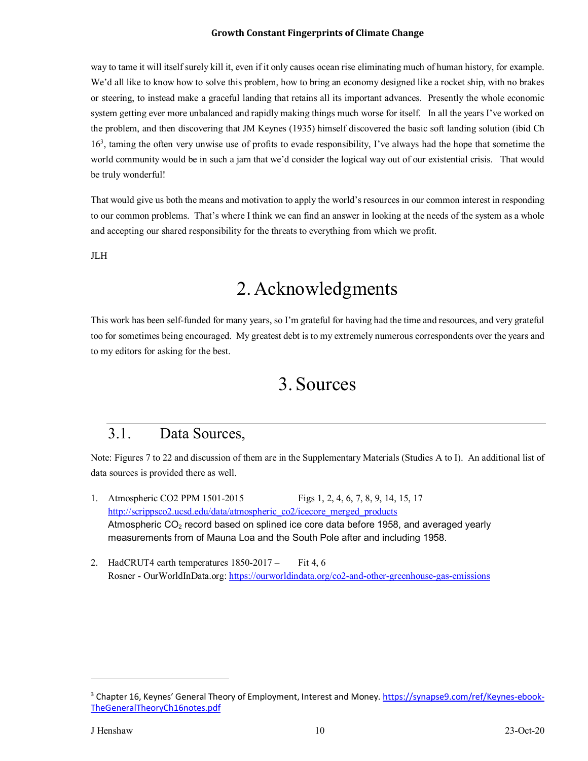way to tame it will itself surely kill it, even if it only causes ocean rise eliminating much of human history, for example. We'd all like to know how to solve this problem, how to bring an economy designed like a rocket ship, with no brakes or steering, to instead make a graceful landing that retains all its important advances. Presently the whole economic system getting ever more unbalanced and rapidly making things much worse for itself. In all the years I've worked on the problem, and then discovering that JM Keynes (1935) himself discovered the basic soft landing solution (ibid Ch 16<sup>3</sup> , taming the often very unwise use of profits to evade responsibility, I've always had the hope that sometime the world community would be in such a jam that we'd consider the logical way out of our existential crisis. That would be truly wonderful!

That would give us both the means and motivation to apply the world's resources in our common interest in responding to our common problems. That's where I think we can find an answer in looking at the needs of the system as a whole and accepting our shared responsibility for the threats to everything from which we profit.

JLH

# 2. Acknowledgments

This work has been self-funded for many years, so I'm grateful for having had the time and resources, and very grateful too for sometimes being encouraged. My greatest debt is to my extremely numerous correspondents over the years and to my editors for asking for the best.

# 3. Sources

### 3.1. Data Sources,

Note: Figures 7 to 22 and discussion of them are in the Supplementary Materials (Studies A to I). An additional list of data sources is provided there as well.

- 1. Atmospheric CO2 PPM 1501-2015 Figs 1, 2, 4, 6, 7, 8, 9, 14, 15, 17 http://scrippsco2.ucsd.edu/data/atmospheric\_co2/icecore\_merged\_products Atmospheric  $CO<sub>2</sub>$  record based on splined ice core data before 1958, and averaged yearly measurements from of Mauna Loa and the South Pole after and including 1958.
- 2. HadCRUT4 earth temperatures  $1850-2017$  Fit 4, 6 Rosner - OurWorldInData.org: https://ourworldindata.org/co2-and-other-greenhouse-gas-emissions

 $\overline{a}$ 

<sup>&</sup>lt;sup>3</sup> Chapter 16, Keynes' General Theory of Employment, Interest and Money. https://synapse9.com/ref/Keynes-ebook-TheGeneralTheoryCh16notes.pdf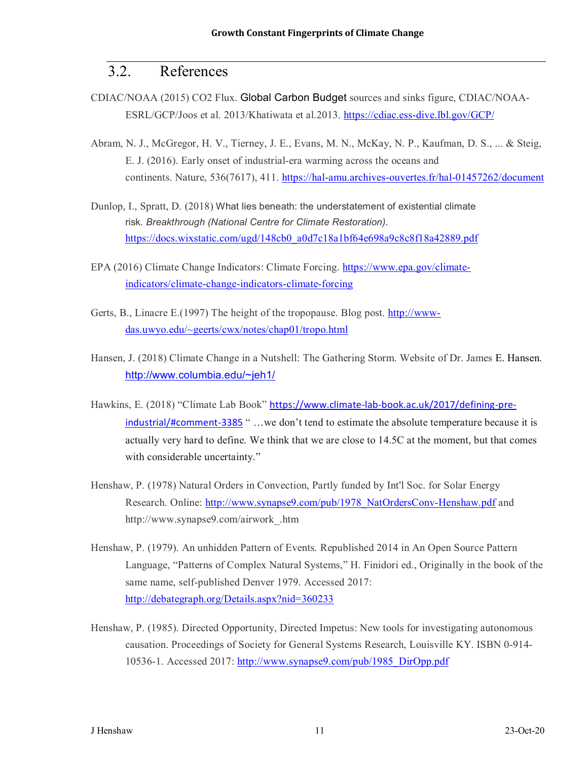### 3.2. References

- CDIAC/NOAA (2015) CO2 Flux. Global Carbon Budget sources and sinks figure, CDIAC/NOAA-ESRL/GCP/Joos et al. 2013/Khatiwata et al.2013. https://cdiac.ess-dive.lbl.gov/GCP/
- Abram, N. J., McGregor, H. V., Tierney, J. E., Evans, M. N., McKay, N. P., Kaufman, D. S., ... & Steig, E. J. (2016). Early onset of industrial-era warming across the oceans and continents. Nature, 536(7617), 411. https://hal-amu.archives-ouvertes.fr/hal-01457262/document
- Dunlop, I., Spratt, D. (2018) What lies beneath: the understatement of existential climate risk. *Breakthrough (National Centre for Climate Restoration)*. https://docs.wixstatic.com/ugd/148cb0\_a0d7c18a1bf64e698a9c8c8f18a42889.pdf
- EPA (2016) Climate Change Indicators: Climate Forcing. https://www.epa.gov/climateindicators/climate-change-indicators-climate-forcing
- Gerts, B., Linacre E.(1997) The height of the tropopause. Blog post. http://wwwdas.uwyo.edu/~geerts/cwx/notes/chap01/tropo.html
- Hansen, J. (2018) Climate Change in a Nutshell: The Gathering Storm. Website of Dr. James E. Hansen. http://www.columbia.edu/~jeh1/
- Hawkins, E. (2018) "Climate Lab Book" https://www.climate-lab-book.ac.uk/2017/defining-preindustrial/#comment-3385 " ...we don't tend to estimate the absolute temperature because it is actually very hard to define. We think that we are close to 14.5C at the moment, but that comes with considerable uncertainty."
- Henshaw, P. (1978) Natural Orders in Convection, Partly funded by Int'l Soc. for Solar Energy Research. Online: http://www.synapse9.com/pub/1978\_NatOrdersConv-Henshaw.pdf and http://www.synapse9.com/airwork\_.htm
- Henshaw, P. (1979). An unhidden Pattern of Events. Republished 2014 in An Open Source Pattern Language, "Patterns of Complex Natural Systems," H. Finidori ed., Originally in the book of the same name, self-published Denver 1979. Accessed 2017: http://debategraph.org/Details.aspx?nid=360233
- Henshaw, P. (1985). Directed Opportunity, Directed Impetus: New tools for investigating autonomous causation. Proceedings of Society for General Systems Research, Louisville KY. ISBN 0-914- 10536-1. Accessed 2017: http://www.synapse9.com/pub/1985\_DirOpp.pdf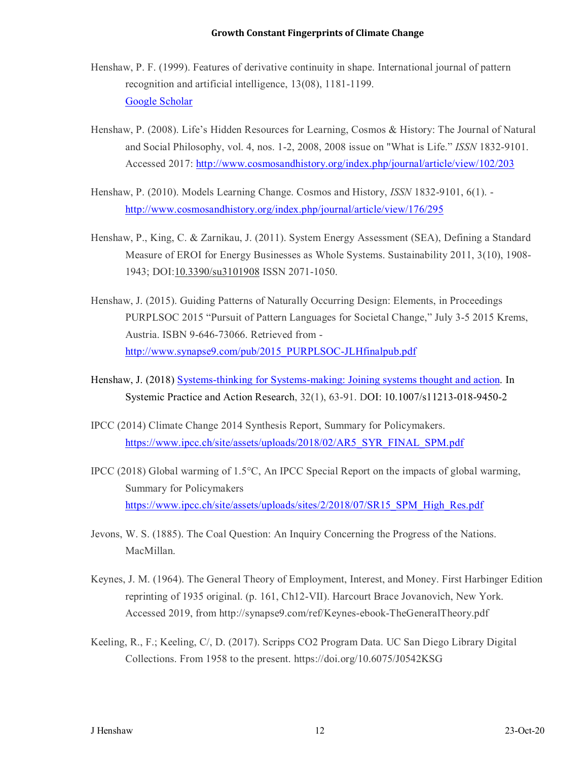- Henshaw, P. F. (1999). Features of derivative continuity in shape. International journal of pattern recognition and artificial intelligence, 13(08), 1181-1199. Google Scholar
- Henshaw, P. (2008). Life's Hidden Resources for Learning, Cosmos & History: The Journal of Natural and Social Philosophy, vol. 4, nos. 1-2, 2008, 2008 issue on "What is Life." *ISSN* 1832-9101. Accessed 2017: http://www.cosmosandhistory.org/index.php/journal/article/view/102/203
- Henshaw, P. (2010). Models Learning Change. Cosmos and History, *ISSN* 1832-9101, 6(1). http://www.cosmosandhistory.org/index.php/journal/article/view/176/295
- Henshaw, P., King, C. & Zarnikau, J. (2011). System Energy Assessment (SEA), Defining a Standard Measure of EROI for Energy Businesses as Whole Systems. Sustainability 2011, 3(10), 1908- 1943; DOI:10.3390/su3101908 ISSN 2071-1050.
- Henshaw, J. (2015). Guiding Patterns of Naturally Occurring Design: Elements, in Proceedings PURPLSOC 2015 "Pursuit of Pattern Languages for Societal Change," July 3-5 2015 Krems, Austria. ISBN 9-646-73066. Retrieved from http://www.synapse9.com/pub/2015\_PURPLSOC-JLHfinalpub.pdf
- Henshaw, J. (2018) Systems-thinking for Systems-making: Joining systems thought and action. In Systemic Practice and Action Research, 32(1), 63-91. DOI: 10.1007/s11213-018-9450-2
- IPCC (2014) Climate Change 2014 Synthesis Report, Summary for Policymakers. https://www.ipcc.ch/site/assets/uploads/2018/02/AR5\_SYR\_FINAL\_SPM.pdf
- IPCC (2018) Global warming of 1.5°C, An IPCC Special Report on the impacts of global warming, Summary for Policymakers https://www.ipcc.ch/site/assets/uploads/sites/2/2018/07/SR15\_SPM\_High\_Res.pdf
- Jevons, W. S. (1885). The Coal Question: An Inquiry Concerning the Progress of the Nations. MacMillan.
- Keynes, J. M. (1964). The General Theory of Employment, Interest, and Money. First Harbinger Edition reprinting of 1935 original. (p. 161, Ch12-VII). Harcourt Brace Jovanovich, New York. Accessed 2019, from http://synapse9.com/ref/Keynes-ebook-TheGeneralTheory.pdf
- Keeling, R., F.; Keeling, C/, D. (2017). Scripps CO2 Program Data. UC San Diego Library Digital Collections. From 1958 to the present. https://doi.org/10.6075/J0542KSG